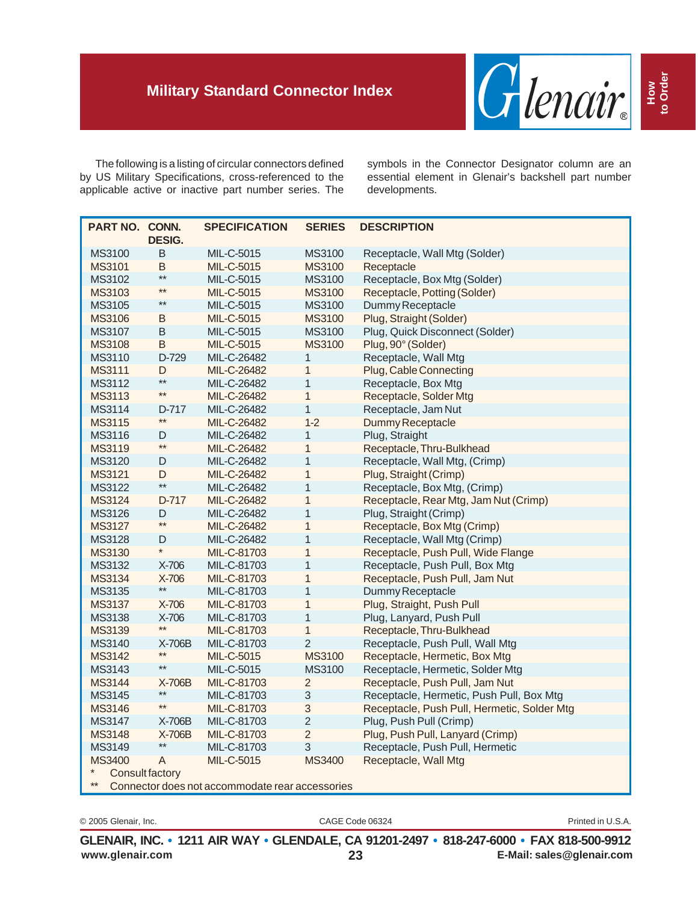

The following is a listing of circular connectors defined by US Military Specifications, cross-referenced to the applicable active or inactive part number series. The symbols in the Connector Designator column are an essential element in Glenair's backshell part number developments.

|                                                 |                 | <b>SPECIFICATION</b> | <b>SERIES</b>  | <b>DESCRIPTION</b>                                         |  |  |
|-------------------------------------------------|-----------------|----------------------|----------------|------------------------------------------------------------|--|--|
| PART NO. CONN.                                  | <b>DESIG.</b>   |                      |                |                                                            |  |  |
| MS3100                                          | $\sf B$         | MIL-C-5015           | MS3100         | Receptacle, Wall Mtg (Solder)                              |  |  |
| <b>MS3101</b>                                   | $\sf B$         | MIL-C-5015           | MS3100         | Receptacle                                                 |  |  |
| MS3102                                          | $^{\star\star}$ | MIL-C-5015           | MS3100         | Receptacle, Box Mtg (Solder)                               |  |  |
| MS3103                                          | $***$           | MIL-C-5015           | <b>MS3100</b>  | Receptacle, Potting (Solder)                               |  |  |
| MS3105                                          | $***$           | MIL-C-5015           | MS3100         | Dummy Receptacle                                           |  |  |
| <b>MS3106</b>                                   | $\sf B$         | MIL-C-5015           | MS3100         | Plug, Straight (Solder)                                    |  |  |
| MS3107                                          | B               | MIL-C-5015           | MS3100         | Plug, Quick Disconnect (Solder)                            |  |  |
| <b>MS3108</b>                                   | B               | MIL-C-5015           | <b>MS3100</b>  | Plug, 90° (Solder)                                         |  |  |
| MS3110                                          | D-729           | MIL-C-26482          | $\mathbf{1}$   | Receptacle, Wall Mtg                                       |  |  |
| <b>MS3111</b>                                   |                 | MIL-C-26482          |                | Plug, Cable Connecting                                     |  |  |
| MS3112                                          | D<br>$**$       | MIL-C-26482          | 1<br>1         | Receptacle, Box Mtg                                        |  |  |
| MS3113                                          | $**$            | MIL-C-26482          | $\mathbf{1}$   | Receptacle, Solder Mtg                                     |  |  |
| MS3114                                          | D-717           | MIL-C-26482          |                |                                                            |  |  |
| <b>MS3115</b>                                   | $**$            | MIL-C-26482          | 1<br>$1-2$     | Receptacle, Jam Nut                                        |  |  |
| MS3116                                          | D               | MIL-C-26482          | 1              | Dummy Receptacle                                           |  |  |
| <b>MS3119</b>                                   | $**$            | MIL-C-26482          | $\mathbf{1}$   | Plug, Straight                                             |  |  |
| MS3120                                          |                 | MIL-C-26482          | $\mathbf{1}$   | Receptacle, Thru-Bulkhead<br>Receptacle, Wall Mtg, (Crimp) |  |  |
|                                                 | D<br>D          |                      |                |                                                            |  |  |
| MS3121                                          | $**$            | MIL-C-26482          | 1              | Plug, Straight (Crimp)                                     |  |  |
| MS3122                                          |                 | MIL-C-26482          | $\mathbf{1}$   | Receptacle, Box Mtg, (Crimp)                               |  |  |
| MS3124                                          | D-717           | MIL-C-26482          | $\mathbf{1}$   | Receptacle, Rear Mtg, Jam Nut (Crimp)                      |  |  |
| MS3126                                          | D<br>$***$      | MIL-C-26482          | $\mathbf{1}$   | Plug, Straight (Crimp)                                     |  |  |
| MS3127                                          |                 | MIL-C-26482          | 1              | Receptacle, Box Mtg (Crimp)                                |  |  |
| MS3128                                          | D<br>$\star$    | MIL-C-26482          | $\mathbf{1}$   | Receptacle, Wall Mtg (Crimp)                               |  |  |
| MS3130                                          |                 | MIL-C-81703          | 1              | Receptacle, Push Pull, Wide Flange                         |  |  |
| MS3132                                          | $X-706$         | MIL-C-81703          | $\mathbf{1}$   | Receptacle, Push Pull, Box Mtg                             |  |  |
| MS3134                                          | X-706<br>$***$  | MIL-C-81703          | 1              | Receptacle, Push Pull, Jam Nut                             |  |  |
| MS3135                                          |                 | MIL-C-81703          | 1              | Dummy Receptacle                                           |  |  |
| <b>MS3137</b>                                   | X-706           | MIL-C-81703          | 1              | Plug, Straight, Push Pull                                  |  |  |
| MS3138                                          | X-706<br>$**$   | MIL-C-81703          | 1              | Plug, Lanyard, Push Pull                                   |  |  |
| MS3139                                          |                 | MIL-C-81703          | $\mathbf{1}$   | Receptacle, Thru-Bulkhead                                  |  |  |
| MS3140                                          | X-706B<br>**    | MIL-C-81703          | $\overline{2}$ | Receptacle, Push Pull, Wall Mtg                            |  |  |
| MS3142                                          | $**$            | MIL-C-5015           | MS3100         | Receptacle, Hermetic, Box Mtg                              |  |  |
| MS3143                                          |                 | MIL-C-5015           | MS3100         | Receptacle, Hermetic, Solder Mtg                           |  |  |
| MS3144                                          | X-706B<br>$***$ | MIL-C-81703          | $\overline{2}$ | Receptacle, Push Pull, Jam Nut                             |  |  |
| MS3145                                          | $**$            | MIL-C-81703          | $\mathsf 3$    | Receptacle, Hermetic, Push Pull, Box Mtg                   |  |  |
| MS3146                                          |                 | MIL-C-81703          | $\sqrt{3}$     | Receptacle, Push Pull, Hermetic, Solder Mtg                |  |  |
| MS3147                                          | X-706B          | MIL-C-81703          | $\overline{c}$ | Plug, Push Pull (Crimp)                                    |  |  |
| <b>MS3148</b>                                   | X-706B<br>$**$  | MIL-C-81703          | $\overline{2}$ | Plug, Push Pull, Lanyard (Crimp)                           |  |  |
| MS3149                                          |                 | MIL-C-81703          | 3              | Receptacle, Push Pull, Hermetic                            |  |  |
| <b>MS3400</b><br>$\ast$                         | A               | MIL-C-5015           | <b>MS3400</b>  | Receptacle, Wall Mtg                                       |  |  |
| <b>Consult factory</b><br>$**$                  |                 |                      |                |                                                            |  |  |
| Connector does not accommodate rear accessories |                 |                      |                |                                                            |  |  |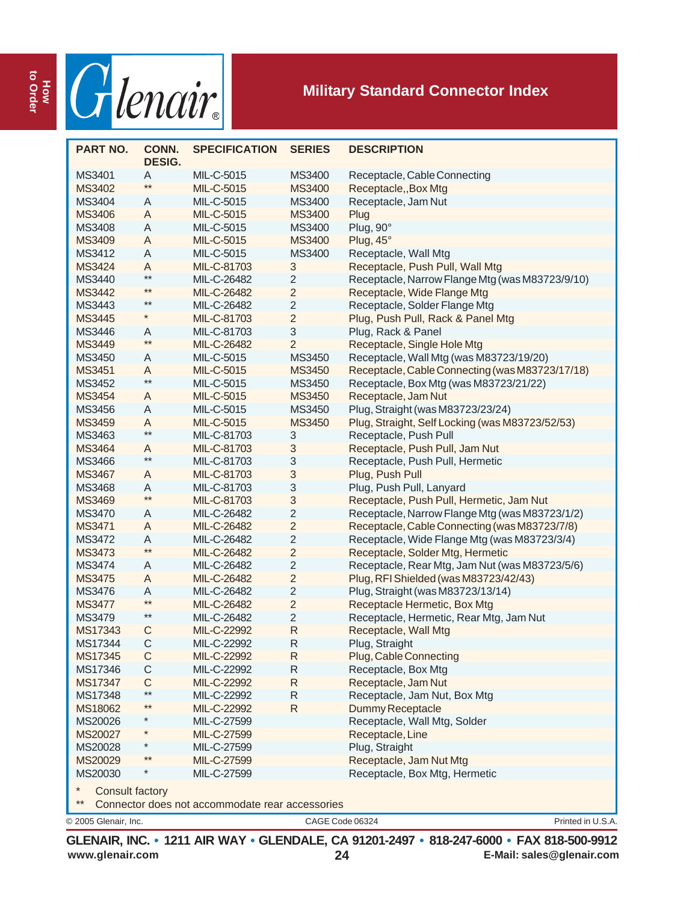

| <b>PART NO.</b>        | CONN.<br><b>DESIG.</b> | <b>SPECIFICATION</b> | <b>SERIES</b>  | <b>DESCRIPTION</b>                              |
|------------------------|------------------------|----------------------|----------------|-------------------------------------------------|
| MS3401                 | Α                      | MIL-C-5015           | MS3400         | Receptacle, Cable Connecting                    |
| MS3402                 | $**$                   | MIL-C-5015           | <b>MS3400</b>  | Receptacle,, Box Mtg                            |
| MS3404                 | Α                      | MIL-C-5015           | MS3400         | Receptacle, Jam Nut                             |
| <b>MS3406</b>          | A                      | MIL-C-5015           | MS3400         | Plug                                            |
| MS3408                 | Α                      | MIL-C-5015           | MS3400         | Plug, 90°                                       |
| MS3409                 | A                      | MIL-C-5015           | MS3400         | Plug, 45°                                       |
| MS3412                 | Α                      | MIL-C-5015           | MS3400         | Receptacle, Wall Mtg                            |
| <b>MS3424</b>          | A                      | MIL-C-81703          | 3              | Receptacle, Push Pull, Wall Mtg                 |
| MS3440                 | $***$                  | MIL-C-26482          | $\mathbf 2$    | Receptacle, Narrow Flange Mtg (was M83723/9/10) |
| <b>MS3442</b>          | $***$                  | MIL-C-26482          | $\overline{2}$ | Receptacle, Wide Flange Mtg                     |
| MS3443                 | **                     | MIL-C-26482          | $\mathbf 2$    | Receptacle, Solder Flange Mtg                   |
| <b>MS3445</b>          | $^{\star}$             | MIL-C-81703          | $\overline{2}$ | Plug, Push Pull, Rack & Panel Mtg               |
| MS3446                 | Α                      | MIL-C-81703          | 3              | Plug, Rack & Panel                              |
| <b>MS3449</b>          | $***$                  | MIL-C-26482          | $\overline{2}$ | Receptacle, Single Hole Mtg                     |
| MS3450                 | Α                      | MIL-C-5015           | MS3450         | Receptacle, Wall Mtg (was M83723/19/20)         |
| MS3451                 | A                      | MIL-C-5015           | <b>MS3450</b>  | Receptacle, Cable Connecting (was M83723/17/18) |
| MS3452                 | $***$                  | MIL-C-5015           | MS3450         | Receptacle, Box Mtg (was M83723/21/22)          |
| <b>MS3454</b>          | A                      | MIL-C-5015           | MS3450         | Receptacle, Jam Nut                             |
| MS3456                 | A                      | MIL-C-5015           | MS3450         | Plug, Straight (was M83723/23/24)               |
| <b>MS3459</b>          | A                      | MIL-C-5015           | MS3450         | Plug, Straight, Self Locking (was M83723/52/53) |
| MS3463                 | $***$                  | MIL-C-81703          | 3              | Receptacle, Push Pull                           |
| <b>MS3464</b>          | A                      | MIL-C-81703          | 3              | Receptacle, Push Pull, Jam Nut                  |
| MS3466                 | $***$                  | MIL-C-81703          | 3              | Receptacle, Push Pull, Hermetic                 |
| <b>MS3467</b>          | A                      | MIL-C-81703          | 3              | Plug, Push Pull                                 |
| MS3468                 | Α                      | MIL-C-81703          | 3              | Plug, Push Pull, Lanyard                        |
| MS3469                 | $***$                  | MIL-C-81703          | 3              | Receptacle, Push Pull, Hermetic, Jam Nut        |
| MS3470                 | Α                      | MIL-C-26482          | $\mathbf 2$    | Receptacle, Narrow Flange Mtg (was M83723/1/2)  |
| <b>MS3471</b>          | A                      | MIL-C-26482          | $\overline{2}$ | Receptacle, Cable Connecting (was M83723/7/8)   |
| MS3472                 | Α                      | MIL-C-26482          | $\overline{c}$ | Receptacle, Wide Flange Mtg (was M83723/3/4)    |
| <b>MS3473</b>          | $**$                   | MIL-C-26482          | $\overline{c}$ | Receptacle, Solder Mtg, Hermetic                |
| MS3474                 | A                      | MIL-C-26482          | $\mathbf 2$    | Receptacle, Rear Mtg, Jam Nut (was M83723/5/6)  |
| <b>MS3475</b>          | A                      | MIL-C-26482          | $\overline{2}$ | Plug, RFI Shielded (was M83723/42/43)           |
| MS3476                 | Α                      | MIL-C-26482          | $\mathbf 2$    | Plug, Straight (was M83723/13/14)               |
| <b>MS3477</b>          | $***$                  | MIL-C-26482          | $\overline{2}$ | Receptacle Hermetic, Box Mtg                    |
| MS3479                 | $^{\star\star}$        | MIL-C-26482          | $\overline{2}$ | Receptacle, Hermetic, Rear Mtg, Jam Nut         |
| MS17343                | С                      | MIL-C-22992          | $\mathsf{R}$   | Receptacle, Wall Mtg                            |
| MS17344                | C                      | MIL-C-22992          | R              | Plug, Straight                                  |
| MS17345                | С                      | MIL-C-22992          | R              | Plug, Cable Connecting                          |
| MS17346                | С                      | MIL-C-22992          | R              | Receptacle, Box Mtg                             |
| MS17347                | $\mathsf C$            | MIL-C-22992          | $\mathsf R$    | Receptacle, Jam Nut                             |
| MS17348                | $***$                  | MIL-C-22992          | R              | Receptacle, Jam Nut, Box Mtg                    |
| MS18062                | $***$                  | MIL-C-22992          | R              | Dummy Receptacle                                |
| MS20026                | *                      | MIL-C-27599          |                | Receptacle, Wall Mtg, Solder                    |
| MS20027                | $^{\star}$             | MIL-C-27599          |                | Receptacle, Line                                |
| MS20028                | *                      | MIL-C-27599          |                | Plug, Straight                                  |
| MS20029                | $***$                  | MIL-C-27599          |                | Receptacle, Jam Nut Mtg                         |
| MS20030                |                        | MIL-C-27599          |                | Receptacle, Box Mtg, Hermetic                   |
| <b>Consult factory</b> |                        |                      |                |                                                 |

Connector does not accommodate rear accessories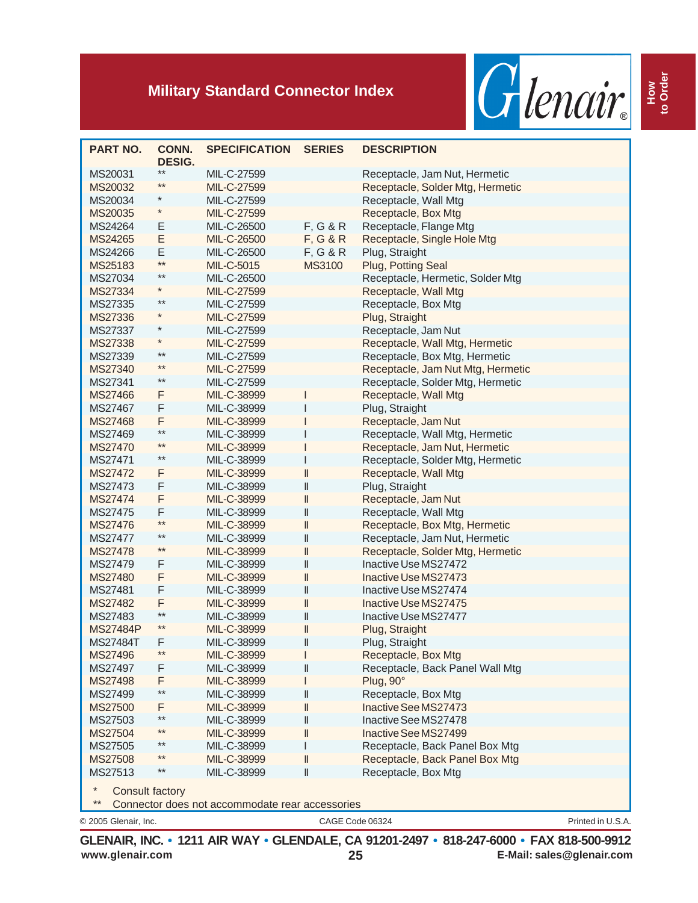

| <b>PART NO.</b>                  | CONN.<br><b>DESIG.</b> | <b>SPECIFICATION</b> | <b>SERIES</b> | <b>DESCRIPTION</b>                |
|----------------------------------|------------------------|----------------------|---------------|-----------------------------------|
| MS20031                          | $***$                  | MIL-C-27599          |               | Receptacle, Jam Nut, Hermetic     |
| MS20032                          | $***$                  | MIL-C-27599          |               | Receptacle, Solder Mtg, Hermetic  |
| MS20034                          | *                      | MIL-C-27599          |               | Receptacle, Wall Mtg              |
| MS20035                          | $^{\star}$             | MIL-C-27599          |               | Receptacle, Box Mtg               |
| MS24264                          | Ε                      | MIL-C-26500          | F, G & R      | Receptacle, Flange Mtg            |
| MS24265                          | E                      | MIL-C-26500          | F, G & R      | Receptacle, Single Hole Mtg       |
| MS24266                          | Е                      | MIL-C-26500          | F, G & R      | Plug, Straight                    |
| MS25183                          | $**$                   | MIL-C-5015           | <b>MS3100</b> | Plug, Potting Seal                |
| MS27034                          | $***$                  | MIL-C-26500          |               | Receptacle, Hermetic, Solder Mtg  |
| MS27334                          | *                      | MIL-C-27599          |               | Receptacle, Wall Mtg              |
| MS27335                          | $***$                  | MIL-C-27599          |               | Receptacle, Box Mtg               |
| MS27336                          | $^{\star}$             | MIL-C-27599          |               | Plug, Straight                    |
| MS27337                          | $^{\star}$             | MIL-C-27599          |               | Receptacle, Jam Nut               |
| MS27338                          | $^{\star}$             | MIL-C-27599          |               | Receptacle, Wall Mtg, Hermetic    |
| MS27339                          | $***$                  | MIL-C-27599          |               | Receptacle, Box Mtg, Hermetic     |
| MS27340                          | **                     | MIL-C-27599          |               | Receptacle, Jam Nut Mtg, Hermetic |
| MS27341                          | $***$                  | MIL-C-27599          |               | Receptacle, Solder Mtg, Hermetic  |
| MS27466                          | F                      | MIL-C-38999          | I             | Receptacle, Wall Mtg              |
| MS27467                          | F                      | MIL-C-38999          | ı             | Plug, Straight                    |
| MS27468                          | F                      | MIL-C-38999          |               | Receptacle, Jam Nut               |
| MS27469                          | $**$                   | MIL-C-38999          |               | Receptacle, Wall Mtg, Hermetic    |
| MS27470                          | $^{\star\star}$        | MIL-C-38999          |               | Receptacle, Jam Nut, Hermetic     |
| MS27471                          | $***$                  | MIL-C-38999          |               | Receptacle, Solder Mtg, Hermetic  |
| MS27472                          | F                      | MIL-C-38999          | II            | Receptacle, Wall Mtg              |
| MS27473                          | F                      | MIL-C-38999          | II            | Plug, Straight                    |
| <b>MS27474</b>                   | F                      | MIL-C-38999          | II            | Receptacle, Jam Nut               |
| MS27475                          | F                      | MIL-C-38999          | II            | Receptacle, Wall Mtg              |
| MS27476                          | $***$                  | MIL-C-38999          | II            | Receptacle, Box Mtg, Hermetic     |
| MS27477                          | $***$                  | MIL-C-38999          | II            | Receptacle, Jam Nut, Hermetic     |
| MS27478                          | $***$                  | MIL-C-38999          | $\mathsf{I}$  | Receptacle, Solder Mtg, Hermetic  |
| MS27479                          | F                      | MIL-C-38999          | II            | Inactive Use MS27472              |
| MS27480                          | F                      | MIL-C-38999          | II            | Inactive Use MS27473              |
| MS27481                          | F                      | MIL-C-38999          | II            | Inactive Use MS27474              |
| MS27482                          | F                      | MIL-C-38999          | II            | Inactive Use MS27475              |
| MS27483                          | $***$                  | MIL-C-38999          | II            | Inactive Use MS27477              |
| <b>MS27484P</b>                  | $***$                  | MIL-C-38999          | II            | Plug, Straight                    |
| MS27484T                         | F                      | MIL-C-38999          | II            | Plug, Straight                    |
| MS27496                          | $***$                  | MIL-C-38999          |               | Receptacle, Box Mtg               |
| MS27497                          | F                      | MIL-C-38999          | II            | Receptacle, Back Panel Wall Mtg   |
| MS27498                          | F                      | MIL-C-38999          |               | Plug, 90°                         |
| MS27499                          | $**$                   | MIL-C-38999          | II            | Receptacle, Box Mtg               |
| MS27500                          | F                      | MIL-C-38999          | II            | Inactive See MS27473              |
| MS27503                          | $***$                  | MIL-C-38999          | II            | Inactive See MS27478              |
| MS27504                          | $***$                  | MIL-C-38999          | II            | Inactive See MS27499              |
| MS27505                          | **                     | MIL-C-38999          | L             | Receptacle, Back Panel Box Mtg    |
| MS27508                          | $***$                  | MIL-C-38999          | II            | Receptacle, Back Panel Box Mtg    |
| MS27513                          | $***$                  | MIL-C-38999          | II            | Receptacle, Box Mtg               |
| $\ast$<br><b>Consult factory</b> |                        |                      |               |                                   |

\*\* Connector does not accommodate rear accessories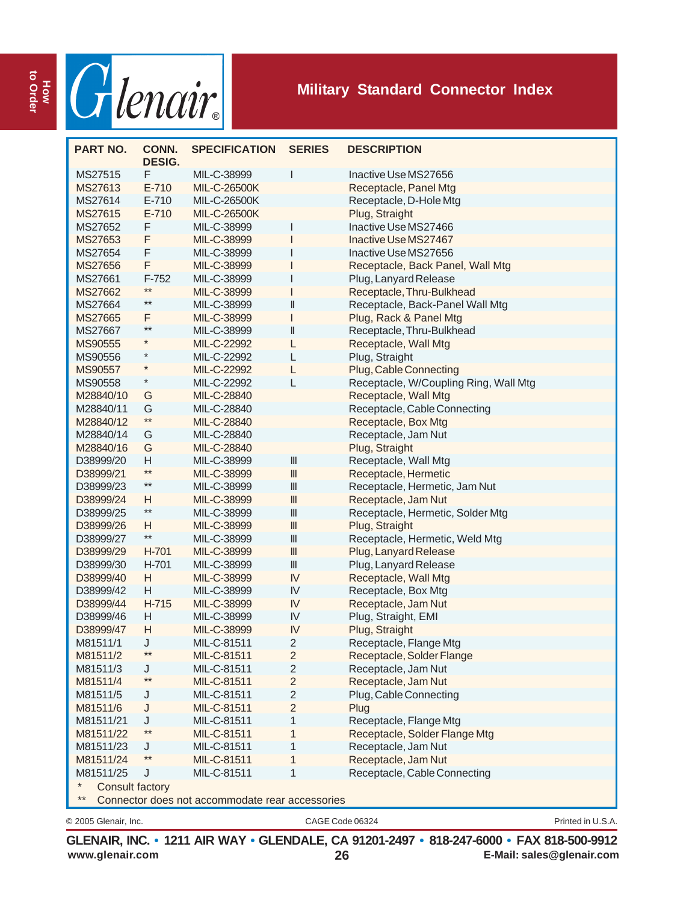

| <b>PART NO.</b>          | CONN.<br><b>DESIG.</b> | <b>SPECIFICATION</b>                            | <b>SERIES</b>                         | <b>DESCRIPTION</b>                    |
|--------------------------|------------------------|-------------------------------------------------|---------------------------------------|---------------------------------------|
| MS27515                  | F                      | MIL-C-38999                                     | ı                                     | Inactive Use MS27656                  |
| MS27613                  | $E - 710$              | <b>MIL-C-26500K</b>                             |                                       | Receptacle, Panel Mtg                 |
| MS27614                  | $E-710$                | MIL-C-26500K                                    |                                       | Receptacle, D-Hole Mtg                |
| MS27615                  | $E-710$                | MIL-C-26500K                                    |                                       | Plug, Straight                        |
| MS27652                  | F                      | MIL-C-38999                                     | ı                                     | Inactive Use MS27466                  |
| MS27653                  | F                      | MIL-C-38999                                     |                                       | Inactive Use MS27467                  |
| MS27654                  | F                      | MIL-C-38999                                     |                                       | Inactive Use MS27656                  |
| MS27656                  | F                      | MIL-C-38999                                     |                                       | Receptacle, Back Panel, Wall Mtg      |
| MS27661                  | F-752                  | MIL-C-38999                                     | I                                     | Plug, Lanyard Release                 |
| MS27662                  | $***$                  | MIL-C-38999                                     | I                                     | Receptacle, Thru-Bulkhead             |
| MS27664                  | $^{\star\star}$        | MIL-C-38999                                     | $\ $                                  | Receptacle, Back-Panel Wall Mtg       |
| MS27665                  | F                      | MIL-C-38999                                     | ı                                     | Plug, Rack & Panel Mtg                |
| MS27667                  | $***$                  | MIL-C-38999                                     | $\parallel$                           | Receptacle, Thru-Bulkhead             |
| MS90555                  | $^{\star}$             | MIL-C-22992                                     | L                                     | Receptacle, Wall Mtg                  |
| MS90556                  | $^{\star}$             | MIL-C-22992                                     | L                                     | Plug, Straight                        |
| MS90557                  | $\ast$                 | MIL-C-22992                                     | L                                     | Plug, Cable Connecting                |
| MS90558                  | $^{\star}$             | MIL-C-22992                                     | L                                     | Receptacle, W/Coupling Ring, Wall Mtg |
| M28840/10                | G                      | MIL-C-28840                                     |                                       | Receptacle, Wall Mtg                  |
| M28840/11                | G                      | MIL-C-28840                                     |                                       | Receptacle, Cable Connecting          |
| M28840/12                | $**$                   | MIL-C-28840                                     |                                       | Receptacle, Box Mtg                   |
| M28840/14                | G                      | MIL-C-28840                                     |                                       | Receptacle, Jam Nut                   |
| M28840/16                | G                      | MIL-C-28840                                     |                                       | Plug, Straight                        |
| D38999/20                | H                      | MIL-C-38999                                     | $\ensuremath{\mathsf{III}}\xspace$    | Receptacle, Wall Mtg                  |
| D38999/21                | **                     | MIL-C-38999                                     | $\mathbb{I}$                          | Receptacle, Hermetic                  |
| D38999/23                | $***$                  | MIL-C-38999                                     | $\ensuremath{\mathsf{III}}\xspace$    | Receptacle, Hermetic, Jam Nut         |
| D38999/24                | H                      | MIL-C-38999                                     | $\ensuremath{\mathsf{III}}\xspace$    | Receptacle, Jam Nut                   |
| D38999/25                | $***$                  | MIL-C-38999                                     | $\ensuremath{\mathsf{III}}\xspace$    | Receptacle, Hermetic, Solder Mtg      |
| D38999/26                | H                      | MIL-C-38999                                     | $\ensuremath{\mathsf{III}}\xspace$    | Plug, Straight                        |
| D38999/27                | $**$                   | MIL-C-38999                                     | $\ensuremath{\mathsf{III}}\xspace$    | Receptacle, Hermetic, Weld Mtg        |
| D38999/29                | H-701                  | MIL-C-38999                                     | $\begin{array}{c} \hline \end{array}$ | Plug, Lanyard Release                 |
| D38999/30                | H-701                  | MIL-C-38999                                     | $\ensuremath{\mathsf{III}}\xspace$    | Plug, Lanyard Release                 |
| D38999/40                | H                      | MIL-C-38999                                     | IV                                    | Receptacle, Wall Mtg                  |
| D38999/42                | H                      | MIL-C-38999                                     | IV                                    | Receptacle, Box Mtg                   |
| D38999/44                | H-715                  | MIL-C-38999                                     | IV                                    | Receptacle, Jam Nut                   |
| D38999/46                | H                      | MIL-C-38999                                     | IV                                    | Plug, Straight, EMI                   |
| D38999/47                | H                      | MIL-C-38999                                     | IV                                    | Plug, Straight                        |
| M81511/1                 | J                      | MIL-C-81511                                     | $\overline{2}$                        | Receptacle, Flange Mtg                |
| M81511/2                 |                        | MIL-C-81511                                     | 2                                     | Receptacle, Solder Flange             |
| M81511/3                 | J                      | MIL-C-81511                                     | $\overline{2}$                        | Receptacle, Jam Nut                   |
| M81511/4                 | $^{\star\star}$        | MIL-C-81511                                     | $\overline{2}$                        | Receptacle, Jam Nut                   |
| M81511/5                 | J                      | MIL-C-81511                                     | 2                                     | Plug, Cable Connecting                |
| M81511/6                 | J                      | MIL-C-81511                                     | $\overline{2}$                        | Plug                                  |
| M81511/21                | J                      | MIL-C-81511                                     | 1                                     | Receptacle, Flange Mtg                |
| M81511/22                | $***$                  | MIL-C-81511                                     | 1                                     | Receptacle, Solder Flange Mtg         |
| M81511/23                | J                      | MIL-C-81511                                     | 1                                     | Receptacle, Jam Nut                   |
| M81511/24                | $***$                  | MIL-C-81511                                     | 1                                     | Receptacle, Jam Nut                   |
| M81511/25                | J                      | MIL-C-81511                                     | 1                                     | Receptacle, Cable Connecting          |
|                          |                        |                                                 |                                       |                                       |
| Consult factory<br>$***$ |                        | Connector does not accommodate rear accessories |                                       |                                       |
|                          |                        |                                                 |                                       |                                       |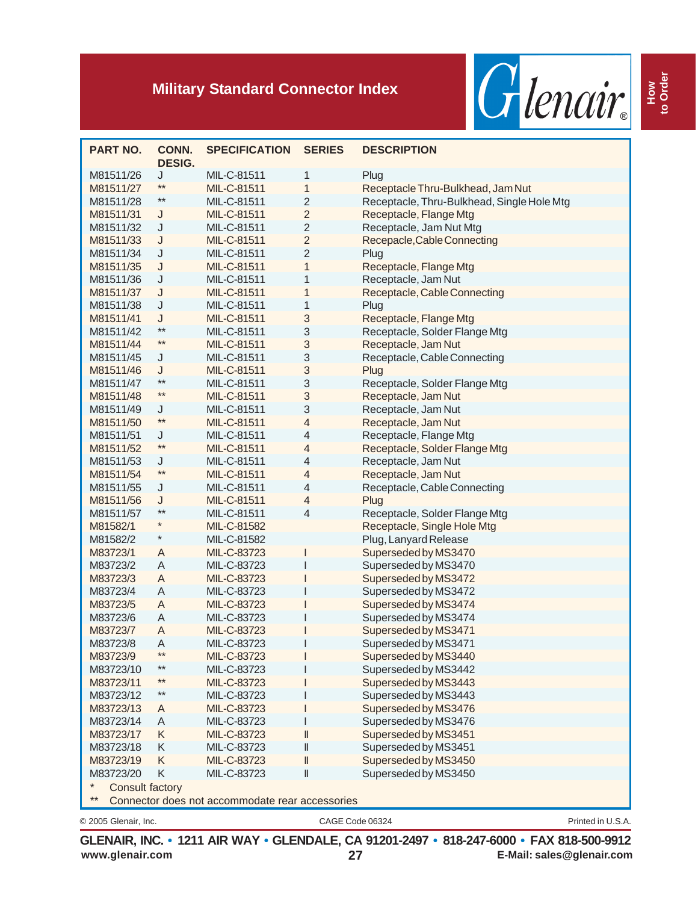

| J<br>MIL-C-81511<br>1<br>M81511/26<br>Plug<br>$***$<br>MIL-C-81511<br>1<br>Receptacle Thru-Bulkhead, Jam Nut<br>M81511/27<br>**<br>$\sqrt{2}$<br>MIL-C-81511<br>Receptacle, Thru-Bulkhead, Single Hole Mtg<br>M81511/28<br>$\overline{c}$<br>M81511/31<br>MIL-C-81511<br>Receptacle, Flange Mtg<br>J<br>$\overline{2}$<br>J<br>Receptacle, Jam Nut Mtg<br>M81511/32<br>MIL-C-81511<br>$\overline{2}$<br>M81511/33<br>J<br>MIL-C-81511<br>Recepacle, Cable Connecting<br>$\overline{2}$<br>M81511/34<br>J<br>MIL-C-81511<br>Plug<br>M81511/35<br>J<br>MIL-C-81511<br>1<br>Receptacle, Flange Mtg<br>Receptacle, Jam Nut<br>M81511/36<br>J<br>MIL-C-81511<br>1<br>J<br>MIL-C-81511<br>1<br>Receptacle, Cable Connecting<br>M81511/37<br>J<br>1<br>M81511/38<br>MIL-C-81511<br>Plug<br>3<br>J<br>Receptacle, Flange Mtg<br>M81511/41<br>MIL-C-81511<br>**<br>3<br>Receptacle, Solder Flange Mtg<br>MIL-C-81511<br>M81511/42<br>**<br>3<br>Receptacle, Jam Nut<br>M81511/44<br>MIL-C-81511<br>3<br>MIL-C-81511<br>Receptacle, Cable Connecting<br>M81511/45<br>J<br>3<br>M81511/46<br>J<br>MIL-C-81511<br>Plug<br>**<br>3<br>MIL-C-81511<br>Receptacle, Solder Flange Mtg<br>M81511/47<br>**<br>3<br>MIL-C-81511<br>Receptacle, Jam Nut<br>M81511/48<br>3<br>Receptacle, Jam Nut<br>M81511/49<br>J<br>MIL-C-81511<br>$***$<br>$\overline{4}$<br>MIL-C-81511<br>Receptacle, Jam Nut<br>M81511/50<br>J<br>4<br>Receptacle, Flange Mtg<br>M81511/51<br>MIL-C-81511<br>$***$<br>Receptacle, Solder Flange Mtg<br>M81511/52<br>MIL-C-81511<br>4<br>4<br>M81511/53<br>J<br>MIL-C-81511<br>Receptacle, Jam Nut<br>**<br>Receptacle, Jam Nut<br>M81511/54<br>MIL-C-81511<br>4<br>4<br>J<br>MIL-C-81511<br>Receptacle, Cable Connecting<br>M81511/55<br>M81511/56<br>J<br>MIL-C-81511<br>4<br>Plug<br>**<br>MIL-C-81511<br>4<br>Receptacle, Solder Flange Mtg<br>M81511/57<br>MIL-C-81582<br>Receptacle, Single Hole Mtg<br>M81582/1<br>$^{\star}$<br>Plug, Lanyard Release<br>MIL-C-81582<br>M81582/2<br>MIL-C-83723<br>Superseded by MS3470<br>M83723/1<br>A<br>MIL-C-83723<br>Superseded by MS3470<br>M83723/2<br>A<br>Superseded by MS3472<br>M83723/3<br>A<br>MIL-C-83723<br>Superseded by MS3472<br>M83723/4<br>A<br>MIL-C-83723<br>Superseded by MS3474<br>M83723/5<br>A<br>MIL-C-83723<br>Superseded by MS3474<br>M83723/6<br>A<br>MIL-C-83723<br>Superseded by MS3471<br>M83723/7<br>MIL-C-83723<br>A<br>Superseded by MS3471<br>M83723/8<br>A<br>MIL-C-83723<br>M83723/9<br>MIL-C-83723<br>Superseded by MS3440<br>$***$<br>MIL-C-83723<br>M83723/10<br>Superseded by MS3442<br>$***$<br>MIL-C-83723<br>Superseded by MS3443<br>M83723/11<br>$***$<br>MIL-C-83723<br>Superseded by MS3443<br>M83723/12<br>MIL-C-83723<br>Superseded by MS3476<br>M83723/13<br>A<br>Superseded by MS3476<br>M83723/14<br>A<br>MIL-C-83723<br>Superseded by MS3451<br>M83723/17<br>K<br>MIL-C-83723<br>II<br>Superseded by MS3451<br>M83723/18<br>Κ<br>MIL-C-83723<br>Ш<br>M83723/19<br>MIL-C-83723<br>Superseded by MS3450<br>K<br>Ш<br>K<br>II<br>Superseded by MS3450<br>M83723/20<br>MIL-C-83723<br><b>Consult factory</b><br>$***$<br>Connector does not accommodate rear accessories | <b>PART NO.</b> | CONN.<br><b>DESIG.</b> | <b>SPECIFICATION</b> | <b>SERIES</b> | <b>DESCRIPTION</b> |  |
|-----------------------------------------------------------------------------------------------------------------------------------------------------------------------------------------------------------------------------------------------------------------------------------------------------------------------------------------------------------------------------------------------------------------------------------------------------------------------------------------------------------------------------------------------------------------------------------------------------------------------------------------------------------------------------------------------------------------------------------------------------------------------------------------------------------------------------------------------------------------------------------------------------------------------------------------------------------------------------------------------------------------------------------------------------------------------------------------------------------------------------------------------------------------------------------------------------------------------------------------------------------------------------------------------------------------------------------------------------------------------------------------------------------------------------------------------------------------------------------------------------------------------------------------------------------------------------------------------------------------------------------------------------------------------------------------------------------------------------------------------------------------------------------------------------------------------------------------------------------------------------------------------------------------------------------------------------------------------------------------------------------------------------------------------------------------------------------------------------------------------------------------------------------------------------------------------------------------------------------------------------------------------------------------------------------------------------------------------------------------------------------------------------------------------------------------------------------------------------------------------------------------------------------------------------------------------------------------------------------------------------------------------------------------------------------------------------------------------------------------------------------------------------------------------------------------------------------------------------------------------------------------------------------------------------------------------------------------------------------------------------------------------------------------------------------------------------------------------------------------------------------------------------------------------|-----------------|------------------------|----------------------|---------------|--------------------|--|
|                                                                                                                                                                                                                                                                                                                                                                                                                                                                                                                                                                                                                                                                                                                                                                                                                                                                                                                                                                                                                                                                                                                                                                                                                                                                                                                                                                                                                                                                                                                                                                                                                                                                                                                                                                                                                                                                                                                                                                                                                                                                                                                                                                                                                                                                                                                                                                                                                                                                                                                                                                                                                                                                                                                                                                                                                                                                                                                                                                                                                                                                                                                                                                       |                 |                        |                      |               |                    |  |
|                                                                                                                                                                                                                                                                                                                                                                                                                                                                                                                                                                                                                                                                                                                                                                                                                                                                                                                                                                                                                                                                                                                                                                                                                                                                                                                                                                                                                                                                                                                                                                                                                                                                                                                                                                                                                                                                                                                                                                                                                                                                                                                                                                                                                                                                                                                                                                                                                                                                                                                                                                                                                                                                                                                                                                                                                                                                                                                                                                                                                                                                                                                                                                       |                 |                        |                      |               |                    |  |
|                                                                                                                                                                                                                                                                                                                                                                                                                                                                                                                                                                                                                                                                                                                                                                                                                                                                                                                                                                                                                                                                                                                                                                                                                                                                                                                                                                                                                                                                                                                                                                                                                                                                                                                                                                                                                                                                                                                                                                                                                                                                                                                                                                                                                                                                                                                                                                                                                                                                                                                                                                                                                                                                                                                                                                                                                                                                                                                                                                                                                                                                                                                                                                       |                 |                        |                      |               |                    |  |
|                                                                                                                                                                                                                                                                                                                                                                                                                                                                                                                                                                                                                                                                                                                                                                                                                                                                                                                                                                                                                                                                                                                                                                                                                                                                                                                                                                                                                                                                                                                                                                                                                                                                                                                                                                                                                                                                                                                                                                                                                                                                                                                                                                                                                                                                                                                                                                                                                                                                                                                                                                                                                                                                                                                                                                                                                                                                                                                                                                                                                                                                                                                                                                       |                 |                        |                      |               |                    |  |
|                                                                                                                                                                                                                                                                                                                                                                                                                                                                                                                                                                                                                                                                                                                                                                                                                                                                                                                                                                                                                                                                                                                                                                                                                                                                                                                                                                                                                                                                                                                                                                                                                                                                                                                                                                                                                                                                                                                                                                                                                                                                                                                                                                                                                                                                                                                                                                                                                                                                                                                                                                                                                                                                                                                                                                                                                                                                                                                                                                                                                                                                                                                                                                       |                 |                        |                      |               |                    |  |
|                                                                                                                                                                                                                                                                                                                                                                                                                                                                                                                                                                                                                                                                                                                                                                                                                                                                                                                                                                                                                                                                                                                                                                                                                                                                                                                                                                                                                                                                                                                                                                                                                                                                                                                                                                                                                                                                                                                                                                                                                                                                                                                                                                                                                                                                                                                                                                                                                                                                                                                                                                                                                                                                                                                                                                                                                                                                                                                                                                                                                                                                                                                                                                       |                 |                        |                      |               |                    |  |
|                                                                                                                                                                                                                                                                                                                                                                                                                                                                                                                                                                                                                                                                                                                                                                                                                                                                                                                                                                                                                                                                                                                                                                                                                                                                                                                                                                                                                                                                                                                                                                                                                                                                                                                                                                                                                                                                                                                                                                                                                                                                                                                                                                                                                                                                                                                                                                                                                                                                                                                                                                                                                                                                                                                                                                                                                                                                                                                                                                                                                                                                                                                                                                       |                 |                        |                      |               |                    |  |
|                                                                                                                                                                                                                                                                                                                                                                                                                                                                                                                                                                                                                                                                                                                                                                                                                                                                                                                                                                                                                                                                                                                                                                                                                                                                                                                                                                                                                                                                                                                                                                                                                                                                                                                                                                                                                                                                                                                                                                                                                                                                                                                                                                                                                                                                                                                                                                                                                                                                                                                                                                                                                                                                                                                                                                                                                                                                                                                                                                                                                                                                                                                                                                       |                 |                        |                      |               |                    |  |
|                                                                                                                                                                                                                                                                                                                                                                                                                                                                                                                                                                                                                                                                                                                                                                                                                                                                                                                                                                                                                                                                                                                                                                                                                                                                                                                                                                                                                                                                                                                                                                                                                                                                                                                                                                                                                                                                                                                                                                                                                                                                                                                                                                                                                                                                                                                                                                                                                                                                                                                                                                                                                                                                                                                                                                                                                                                                                                                                                                                                                                                                                                                                                                       |                 |                        |                      |               |                    |  |
|                                                                                                                                                                                                                                                                                                                                                                                                                                                                                                                                                                                                                                                                                                                                                                                                                                                                                                                                                                                                                                                                                                                                                                                                                                                                                                                                                                                                                                                                                                                                                                                                                                                                                                                                                                                                                                                                                                                                                                                                                                                                                                                                                                                                                                                                                                                                                                                                                                                                                                                                                                                                                                                                                                                                                                                                                                                                                                                                                                                                                                                                                                                                                                       |                 |                        |                      |               |                    |  |
|                                                                                                                                                                                                                                                                                                                                                                                                                                                                                                                                                                                                                                                                                                                                                                                                                                                                                                                                                                                                                                                                                                                                                                                                                                                                                                                                                                                                                                                                                                                                                                                                                                                                                                                                                                                                                                                                                                                                                                                                                                                                                                                                                                                                                                                                                                                                                                                                                                                                                                                                                                                                                                                                                                                                                                                                                                                                                                                                                                                                                                                                                                                                                                       |                 |                        |                      |               |                    |  |
|                                                                                                                                                                                                                                                                                                                                                                                                                                                                                                                                                                                                                                                                                                                                                                                                                                                                                                                                                                                                                                                                                                                                                                                                                                                                                                                                                                                                                                                                                                                                                                                                                                                                                                                                                                                                                                                                                                                                                                                                                                                                                                                                                                                                                                                                                                                                                                                                                                                                                                                                                                                                                                                                                                                                                                                                                                                                                                                                                                                                                                                                                                                                                                       |                 |                        |                      |               |                    |  |
|                                                                                                                                                                                                                                                                                                                                                                                                                                                                                                                                                                                                                                                                                                                                                                                                                                                                                                                                                                                                                                                                                                                                                                                                                                                                                                                                                                                                                                                                                                                                                                                                                                                                                                                                                                                                                                                                                                                                                                                                                                                                                                                                                                                                                                                                                                                                                                                                                                                                                                                                                                                                                                                                                                                                                                                                                                                                                                                                                                                                                                                                                                                                                                       |                 |                        |                      |               |                    |  |
|                                                                                                                                                                                                                                                                                                                                                                                                                                                                                                                                                                                                                                                                                                                                                                                                                                                                                                                                                                                                                                                                                                                                                                                                                                                                                                                                                                                                                                                                                                                                                                                                                                                                                                                                                                                                                                                                                                                                                                                                                                                                                                                                                                                                                                                                                                                                                                                                                                                                                                                                                                                                                                                                                                                                                                                                                                                                                                                                                                                                                                                                                                                                                                       |                 |                        |                      |               |                    |  |
|                                                                                                                                                                                                                                                                                                                                                                                                                                                                                                                                                                                                                                                                                                                                                                                                                                                                                                                                                                                                                                                                                                                                                                                                                                                                                                                                                                                                                                                                                                                                                                                                                                                                                                                                                                                                                                                                                                                                                                                                                                                                                                                                                                                                                                                                                                                                                                                                                                                                                                                                                                                                                                                                                                                                                                                                                                                                                                                                                                                                                                                                                                                                                                       |                 |                        |                      |               |                    |  |
|                                                                                                                                                                                                                                                                                                                                                                                                                                                                                                                                                                                                                                                                                                                                                                                                                                                                                                                                                                                                                                                                                                                                                                                                                                                                                                                                                                                                                                                                                                                                                                                                                                                                                                                                                                                                                                                                                                                                                                                                                                                                                                                                                                                                                                                                                                                                                                                                                                                                                                                                                                                                                                                                                                                                                                                                                                                                                                                                                                                                                                                                                                                                                                       |                 |                        |                      |               |                    |  |
|                                                                                                                                                                                                                                                                                                                                                                                                                                                                                                                                                                                                                                                                                                                                                                                                                                                                                                                                                                                                                                                                                                                                                                                                                                                                                                                                                                                                                                                                                                                                                                                                                                                                                                                                                                                                                                                                                                                                                                                                                                                                                                                                                                                                                                                                                                                                                                                                                                                                                                                                                                                                                                                                                                                                                                                                                                                                                                                                                                                                                                                                                                                                                                       |                 |                        |                      |               |                    |  |
|                                                                                                                                                                                                                                                                                                                                                                                                                                                                                                                                                                                                                                                                                                                                                                                                                                                                                                                                                                                                                                                                                                                                                                                                                                                                                                                                                                                                                                                                                                                                                                                                                                                                                                                                                                                                                                                                                                                                                                                                                                                                                                                                                                                                                                                                                                                                                                                                                                                                                                                                                                                                                                                                                                                                                                                                                                                                                                                                                                                                                                                                                                                                                                       |                 |                        |                      |               |                    |  |
|                                                                                                                                                                                                                                                                                                                                                                                                                                                                                                                                                                                                                                                                                                                                                                                                                                                                                                                                                                                                                                                                                                                                                                                                                                                                                                                                                                                                                                                                                                                                                                                                                                                                                                                                                                                                                                                                                                                                                                                                                                                                                                                                                                                                                                                                                                                                                                                                                                                                                                                                                                                                                                                                                                                                                                                                                                                                                                                                                                                                                                                                                                                                                                       |                 |                        |                      |               |                    |  |
|                                                                                                                                                                                                                                                                                                                                                                                                                                                                                                                                                                                                                                                                                                                                                                                                                                                                                                                                                                                                                                                                                                                                                                                                                                                                                                                                                                                                                                                                                                                                                                                                                                                                                                                                                                                                                                                                                                                                                                                                                                                                                                                                                                                                                                                                                                                                                                                                                                                                                                                                                                                                                                                                                                                                                                                                                                                                                                                                                                                                                                                                                                                                                                       |                 |                        |                      |               |                    |  |
|                                                                                                                                                                                                                                                                                                                                                                                                                                                                                                                                                                                                                                                                                                                                                                                                                                                                                                                                                                                                                                                                                                                                                                                                                                                                                                                                                                                                                                                                                                                                                                                                                                                                                                                                                                                                                                                                                                                                                                                                                                                                                                                                                                                                                                                                                                                                                                                                                                                                                                                                                                                                                                                                                                                                                                                                                                                                                                                                                                                                                                                                                                                                                                       |                 |                        |                      |               |                    |  |
|                                                                                                                                                                                                                                                                                                                                                                                                                                                                                                                                                                                                                                                                                                                                                                                                                                                                                                                                                                                                                                                                                                                                                                                                                                                                                                                                                                                                                                                                                                                                                                                                                                                                                                                                                                                                                                                                                                                                                                                                                                                                                                                                                                                                                                                                                                                                                                                                                                                                                                                                                                                                                                                                                                                                                                                                                                                                                                                                                                                                                                                                                                                                                                       |                 |                        |                      |               |                    |  |
|                                                                                                                                                                                                                                                                                                                                                                                                                                                                                                                                                                                                                                                                                                                                                                                                                                                                                                                                                                                                                                                                                                                                                                                                                                                                                                                                                                                                                                                                                                                                                                                                                                                                                                                                                                                                                                                                                                                                                                                                                                                                                                                                                                                                                                                                                                                                                                                                                                                                                                                                                                                                                                                                                                                                                                                                                                                                                                                                                                                                                                                                                                                                                                       |                 |                        |                      |               |                    |  |
|                                                                                                                                                                                                                                                                                                                                                                                                                                                                                                                                                                                                                                                                                                                                                                                                                                                                                                                                                                                                                                                                                                                                                                                                                                                                                                                                                                                                                                                                                                                                                                                                                                                                                                                                                                                                                                                                                                                                                                                                                                                                                                                                                                                                                                                                                                                                                                                                                                                                                                                                                                                                                                                                                                                                                                                                                                                                                                                                                                                                                                                                                                                                                                       |                 |                        |                      |               |                    |  |
|                                                                                                                                                                                                                                                                                                                                                                                                                                                                                                                                                                                                                                                                                                                                                                                                                                                                                                                                                                                                                                                                                                                                                                                                                                                                                                                                                                                                                                                                                                                                                                                                                                                                                                                                                                                                                                                                                                                                                                                                                                                                                                                                                                                                                                                                                                                                                                                                                                                                                                                                                                                                                                                                                                                                                                                                                                                                                                                                                                                                                                                                                                                                                                       |                 |                        |                      |               |                    |  |
|                                                                                                                                                                                                                                                                                                                                                                                                                                                                                                                                                                                                                                                                                                                                                                                                                                                                                                                                                                                                                                                                                                                                                                                                                                                                                                                                                                                                                                                                                                                                                                                                                                                                                                                                                                                                                                                                                                                                                                                                                                                                                                                                                                                                                                                                                                                                                                                                                                                                                                                                                                                                                                                                                                                                                                                                                                                                                                                                                                                                                                                                                                                                                                       |                 |                        |                      |               |                    |  |
|                                                                                                                                                                                                                                                                                                                                                                                                                                                                                                                                                                                                                                                                                                                                                                                                                                                                                                                                                                                                                                                                                                                                                                                                                                                                                                                                                                                                                                                                                                                                                                                                                                                                                                                                                                                                                                                                                                                                                                                                                                                                                                                                                                                                                                                                                                                                                                                                                                                                                                                                                                                                                                                                                                                                                                                                                                                                                                                                                                                                                                                                                                                                                                       |                 |                        |                      |               |                    |  |
|                                                                                                                                                                                                                                                                                                                                                                                                                                                                                                                                                                                                                                                                                                                                                                                                                                                                                                                                                                                                                                                                                                                                                                                                                                                                                                                                                                                                                                                                                                                                                                                                                                                                                                                                                                                                                                                                                                                                                                                                                                                                                                                                                                                                                                                                                                                                                                                                                                                                                                                                                                                                                                                                                                                                                                                                                                                                                                                                                                                                                                                                                                                                                                       |                 |                        |                      |               |                    |  |
|                                                                                                                                                                                                                                                                                                                                                                                                                                                                                                                                                                                                                                                                                                                                                                                                                                                                                                                                                                                                                                                                                                                                                                                                                                                                                                                                                                                                                                                                                                                                                                                                                                                                                                                                                                                                                                                                                                                                                                                                                                                                                                                                                                                                                                                                                                                                                                                                                                                                                                                                                                                                                                                                                                                                                                                                                                                                                                                                                                                                                                                                                                                                                                       |                 |                        |                      |               |                    |  |
|                                                                                                                                                                                                                                                                                                                                                                                                                                                                                                                                                                                                                                                                                                                                                                                                                                                                                                                                                                                                                                                                                                                                                                                                                                                                                                                                                                                                                                                                                                                                                                                                                                                                                                                                                                                                                                                                                                                                                                                                                                                                                                                                                                                                                                                                                                                                                                                                                                                                                                                                                                                                                                                                                                                                                                                                                                                                                                                                                                                                                                                                                                                                                                       |                 |                        |                      |               |                    |  |
|                                                                                                                                                                                                                                                                                                                                                                                                                                                                                                                                                                                                                                                                                                                                                                                                                                                                                                                                                                                                                                                                                                                                                                                                                                                                                                                                                                                                                                                                                                                                                                                                                                                                                                                                                                                                                                                                                                                                                                                                                                                                                                                                                                                                                                                                                                                                                                                                                                                                                                                                                                                                                                                                                                                                                                                                                                                                                                                                                                                                                                                                                                                                                                       |                 |                        |                      |               |                    |  |
|                                                                                                                                                                                                                                                                                                                                                                                                                                                                                                                                                                                                                                                                                                                                                                                                                                                                                                                                                                                                                                                                                                                                                                                                                                                                                                                                                                                                                                                                                                                                                                                                                                                                                                                                                                                                                                                                                                                                                                                                                                                                                                                                                                                                                                                                                                                                                                                                                                                                                                                                                                                                                                                                                                                                                                                                                                                                                                                                                                                                                                                                                                                                                                       |                 |                        |                      |               |                    |  |
|                                                                                                                                                                                                                                                                                                                                                                                                                                                                                                                                                                                                                                                                                                                                                                                                                                                                                                                                                                                                                                                                                                                                                                                                                                                                                                                                                                                                                                                                                                                                                                                                                                                                                                                                                                                                                                                                                                                                                                                                                                                                                                                                                                                                                                                                                                                                                                                                                                                                                                                                                                                                                                                                                                                                                                                                                                                                                                                                                                                                                                                                                                                                                                       |                 |                        |                      |               |                    |  |
|                                                                                                                                                                                                                                                                                                                                                                                                                                                                                                                                                                                                                                                                                                                                                                                                                                                                                                                                                                                                                                                                                                                                                                                                                                                                                                                                                                                                                                                                                                                                                                                                                                                                                                                                                                                                                                                                                                                                                                                                                                                                                                                                                                                                                                                                                                                                                                                                                                                                                                                                                                                                                                                                                                                                                                                                                                                                                                                                                                                                                                                                                                                                                                       |                 |                        |                      |               |                    |  |
|                                                                                                                                                                                                                                                                                                                                                                                                                                                                                                                                                                                                                                                                                                                                                                                                                                                                                                                                                                                                                                                                                                                                                                                                                                                                                                                                                                                                                                                                                                                                                                                                                                                                                                                                                                                                                                                                                                                                                                                                                                                                                                                                                                                                                                                                                                                                                                                                                                                                                                                                                                                                                                                                                                                                                                                                                                                                                                                                                                                                                                                                                                                                                                       |                 |                        |                      |               |                    |  |
|                                                                                                                                                                                                                                                                                                                                                                                                                                                                                                                                                                                                                                                                                                                                                                                                                                                                                                                                                                                                                                                                                                                                                                                                                                                                                                                                                                                                                                                                                                                                                                                                                                                                                                                                                                                                                                                                                                                                                                                                                                                                                                                                                                                                                                                                                                                                                                                                                                                                                                                                                                                                                                                                                                                                                                                                                                                                                                                                                                                                                                                                                                                                                                       |                 |                        |                      |               |                    |  |
|                                                                                                                                                                                                                                                                                                                                                                                                                                                                                                                                                                                                                                                                                                                                                                                                                                                                                                                                                                                                                                                                                                                                                                                                                                                                                                                                                                                                                                                                                                                                                                                                                                                                                                                                                                                                                                                                                                                                                                                                                                                                                                                                                                                                                                                                                                                                                                                                                                                                                                                                                                                                                                                                                                                                                                                                                                                                                                                                                                                                                                                                                                                                                                       |                 |                        |                      |               |                    |  |
|                                                                                                                                                                                                                                                                                                                                                                                                                                                                                                                                                                                                                                                                                                                                                                                                                                                                                                                                                                                                                                                                                                                                                                                                                                                                                                                                                                                                                                                                                                                                                                                                                                                                                                                                                                                                                                                                                                                                                                                                                                                                                                                                                                                                                                                                                                                                                                                                                                                                                                                                                                                                                                                                                                                                                                                                                                                                                                                                                                                                                                                                                                                                                                       |                 |                        |                      |               |                    |  |
|                                                                                                                                                                                                                                                                                                                                                                                                                                                                                                                                                                                                                                                                                                                                                                                                                                                                                                                                                                                                                                                                                                                                                                                                                                                                                                                                                                                                                                                                                                                                                                                                                                                                                                                                                                                                                                                                                                                                                                                                                                                                                                                                                                                                                                                                                                                                                                                                                                                                                                                                                                                                                                                                                                                                                                                                                                                                                                                                                                                                                                                                                                                                                                       |                 |                        |                      |               |                    |  |
|                                                                                                                                                                                                                                                                                                                                                                                                                                                                                                                                                                                                                                                                                                                                                                                                                                                                                                                                                                                                                                                                                                                                                                                                                                                                                                                                                                                                                                                                                                                                                                                                                                                                                                                                                                                                                                                                                                                                                                                                                                                                                                                                                                                                                                                                                                                                                                                                                                                                                                                                                                                                                                                                                                                                                                                                                                                                                                                                                                                                                                                                                                                                                                       |                 |                        |                      |               |                    |  |
|                                                                                                                                                                                                                                                                                                                                                                                                                                                                                                                                                                                                                                                                                                                                                                                                                                                                                                                                                                                                                                                                                                                                                                                                                                                                                                                                                                                                                                                                                                                                                                                                                                                                                                                                                                                                                                                                                                                                                                                                                                                                                                                                                                                                                                                                                                                                                                                                                                                                                                                                                                                                                                                                                                                                                                                                                                                                                                                                                                                                                                                                                                                                                                       |                 |                        |                      |               |                    |  |
|                                                                                                                                                                                                                                                                                                                                                                                                                                                                                                                                                                                                                                                                                                                                                                                                                                                                                                                                                                                                                                                                                                                                                                                                                                                                                                                                                                                                                                                                                                                                                                                                                                                                                                                                                                                                                                                                                                                                                                                                                                                                                                                                                                                                                                                                                                                                                                                                                                                                                                                                                                                                                                                                                                                                                                                                                                                                                                                                                                                                                                                                                                                                                                       |                 |                        |                      |               |                    |  |
|                                                                                                                                                                                                                                                                                                                                                                                                                                                                                                                                                                                                                                                                                                                                                                                                                                                                                                                                                                                                                                                                                                                                                                                                                                                                                                                                                                                                                                                                                                                                                                                                                                                                                                                                                                                                                                                                                                                                                                                                                                                                                                                                                                                                                                                                                                                                                                                                                                                                                                                                                                                                                                                                                                                                                                                                                                                                                                                                                                                                                                                                                                                                                                       |                 |                        |                      |               |                    |  |
|                                                                                                                                                                                                                                                                                                                                                                                                                                                                                                                                                                                                                                                                                                                                                                                                                                                                                                                                                                                                                                                                                                                                                                                                                                                                                                                                                                                                                                                                                                                                                                                                                                                                                                                                                                                                                                                                                                                                                                                                                                                                                                                                                                                                                                                                                                                                                                                                                                                                                                                                                                                                                                                                                                                                                                                                                                                                                                                                                                                                                                                                                                                                                                       |                 |                        |                      |               |                    |  |
|                                                                                                                                                                                                                                                                                                                                                                                                                                                                                                                                                                                                                                                                                                                                                                                                                                                                                                                                                                                                                                                                                                                                                                                                                                                                                                                                                                                                                                                                                                                                                                                                                                                                                                                                                                                                                                                                                                                                                                                                                                                                                                                                                                                                                                                                                                                                                                                                                                                                                                                                                                                                                                                                                                                                                                                                                                                                                                                                                                                                                                                                                                                                                                       |                 |                        |                      |               |                    |  |
|                                                                                                                                                                                                                                                                                                                                                                                                                                                                                                                                                                                                                                                                                                                                                                                                                                                                                                                                                                                                                                                                                                                                                                                                                                                                                                                                                                                                                                                                                                                                                                                                                                                                                                                                                                                                                                                                                                                                                                                                                                                                                                                                                                                                                                                                                                                                                                                                                                                                                                                                                                                                                                                                                                                                                                                                                                                                                                                                                                                                                                                                                                                                                                       |                 |                        |                      |               |                    |  |
|                                                                                                                                                                                                                                                                                                                                                                                                                                                                                                                                                                                                                                                                                                                                                                                                                                                                                                                                                                                                                                                                                                                                                                                                                                                                                                                                                                                                                                                                                                                                                                                                                                                                                                                                                                                                                                                                                                                                                                                                                                                                                                                                                                                                                                                                                                                                                                                                                                                                                                                                                                                                                                                                                                                                                                                                                                                                                                                                                                                                                                                                                                                                                                       |                 |                        |                      |               |                    |  |
|                                                                                                                                                                                                                                                                                                                                                                                                                                                                                                                                                                                                                                                                                                                                                                                                                                                                                                                                                                                                                                                                                                                                                                                                                                                                                                                                                                                                                                                                                                                                                                                                                                                                                                                                                                                                                                                                                                                                                                                                                                                                                                                                                                                                                                                                                                                                                                                                                                                                                                                                                                                                                                                                                                                                                                                                                                                                                                                                                                                                                                                                                                                                                                       |                 |                        |                      |               |                    |  |
|                                                                                                                                                                                                                                                                                                                                                                                                                                                                                                                                                                                                                                                                                                                                                                                                                                                                                                                                                                                                                                                                                                                                                                                                                                                                                                                                                                                                                                                                                                                                                                                                                                                                                                                                                                                                                                                                                                                                                                                                                                                                                                                                                                                                                                                                                                                                                                                                                                                                                                                                                                                                                                                                                                                                                                                                                                                                                                                                                                                                                                                                                                                                                                       |                 |                        |                      |               |                    |  |
|                                                                                                                                                                                                                                                                                                                                                                                                                                                                                                                                                                                                                                                                                                                                                                                                                                                                                                                                                                                                                                                                                                                                                                                                                                                                                                                                                                                                                                                                                                                                                                                                                                                                                                                                                                                                                                                                                                                                                                                                                                                                                                                                                                                                                                                                                                                                                                                                                                                                                                                                                                                                                                                                                                                                                                                                                                                                                                                                                                                                                                                                                                                                                                       |                 |                        |                      |               |                    |  |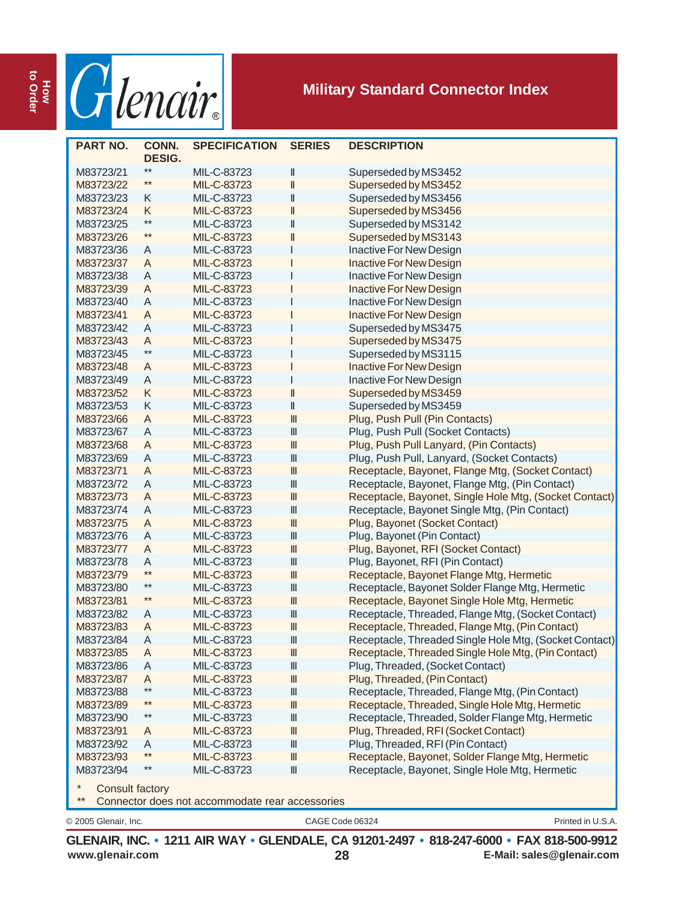

| <b>PART NO.</b>        | CONN.<br><b>DESIG.</b> | <b>SPECIFICATION</b>                            | <b>SERIES</b>                      | <b>DESCRIPTION</b>                                     |
|------------------------|------------------------|-------------------------------------------------|------------------------------------|--------------------------------------------------------|
| M83723/21              | $***$                  | MIL-C-83723                                     | Ш                                  | Superseded by MS3452                                   |
| M83723/22              | $**$                   | MIL-C-83723                                     | $\mathsf{I}$                       | Superseded by MS3452                                   |
| M83723/23              | Κ                      | MIL-C-83723                                     | $\parallel$                        | Superseded by MS3456                                   |
| M83723/24              | K                      | MIL-C-83723                                     | $\label{eq:1} \ $                  | Superseded by MS3456                                   |
| M83723/25              | $**$                   | MIL-C-83723                                     | $\label{eq:1} \ $                  | Superseded by MS3142                                   |
| M83723/26              | $***$                  | MIL-C-83723                                     | $\mathsf{I}$                       | Superseded by MS3143                                   |
| M83723/36              | A                      | MIL-C-83723                                     |                                    | Inactive For New Design                                |
| M83723/37              | A                      | MIL-C-83723                                     |                                    | <b>Inactive For New Design</b>                         |
| M83723/38              | A                      | MIL-C-83723                                     |                                    | Inactive For New Design                                |
| M83723/39              | A                      | MIL-C-83723                                     |                                    | <b>Inactive For New Design</b>                         |
| M83723/40              | A                      | MIL-C-83723                                     |                                    | Inactive For New Design                                |
|                        | A                      |                                                 |                                    | <b>Inactive For New Design</b>                         |
| M83723/41              |                        | MIL-C-83723                                     |                                    | Superseded by MS3475                                   |
| M83723/42              | A<br>A                 | MIL-C-83723                                     |                                    |                                                        |
| M83723/43              | $**$                   | MIL-C-83723                                     |                                    | Superseded by MS3475                                   |
| M83723/45              |                        | MIL-C-83723                                     |                                    | Superseded by MS3115                                   |
| M83723/48              | A                      | MIL-C-83723                                     |                                    | <b>Inactive For New Design</b>                         |
| M83723/49              | A                      | MIL-C-83723                                     |                                    | Inactive For New Design                                |
| M83723/52              | K                      | MIL-C-83723                                     | $\parallel$                        | Superseded by MS3459                                   |
| M83723/53              | Κ                      | MIL-C-83723                                     | II                                 | Superseded by MS3459                                   |
| M83723/66              | A                      | MIL-C-83723                                     | $\ensuremath{\mathsf{III}}\xspace$ | Plug, Push Pull (Pin Contacts)                         |
| M83723/67              | A                      | MIL-C-83723                                     | $\ensuremath{\mathsf{III}}\xspace$ | Plug, Push Pull (Socket Contacts)                      |
| M83723/68              | A                      | MIL-C-83723                                     | $\ensuremath{\mathsf{III}}\xspace$ | Plug, Push Pull Lanyard, (Pin Contacts)                |
| M83723/69              | A                      | MIL-C-83723                                     | $\ensuremath{\mathsf{III}}\xspace$ | Plug, Push Pull, Lanyard, (Socket Contacts)            |
| M83723/71              | A                      | MIL-C-83723                                     | $\ensuremath{\mathsf{III}}\xspace$ | Receptacle, Bayonet, Flange Mtg, (Socket Contact)      |
| M83723/72              | A                      | MIL-C-83723                                     | $\ensuremath{\mathsf{III}}\xspace$ | Receptacle, Bayonet, Flange Mtg, (Pin Contact)         |
| M83723/73              | A                      | MIL-C-83723                                     | $\ensuremath{\mathsf{III}}\xspace$ | Receptacle, Bayonet, Single Hole Mtg, (Socket Contact) |
| M83723/74              | A                      | MIL-C-83723                                     | $\ensuremath{\mathsf{III}}\xspace$ | Receptacle, Bayonet Single Mtg, (Pin Contact)          |
| M83723/75              | A                      | MIL-C-83723                                     | $\ensuremath{\mathsf{III}}\xspace$ | Plug, Bayonet (Socket Contact)                         |
| M83723/76              | A                      | MIL-C-83723                                     | $\ensuremath{\mathsf{III}}\xspace$ | Plug, Bayonet (Pin Contact)                            |
| M83723/77              | A                      | MIL-C-83723                                     | $\ensuremath{\mathsf{III}}\xspace$ | Plug, Bayonet, RFI (Socket Contact)                    |
| M83723/78              | A                      | MIL-C-83723                                     | $\ensuremath{\mathsf{III}}\xspace$ | Plug, Bayonet, RFI (Pin Contact)                       |
| M83723/79              | $**$                   | MIL-C-83723                                     | $\ensuremath{\mathsf{III}}\xspace$ | Receptacle, Bayonet Flange Mtg, Hermetic               |
| M83723/80              | $***$                  | MIL-C-83723                                     | $\ensuremath{\mathsf{III}}\xspace$ | Receptacle, Bayonet Solder Flange Mtg, Hermetic        |
| M83723/81              | $***$                  | MIL-C-83723                                     | $\ensuremath{\mathsf{III}}\xspace$ | Receptacle, Bayonet Single Hole Mtg, Hermetic          |
| M83723/82              | A                      | MIL-C-83723                                     | $\ensuremath{\mathsf{III}}\xspace$ | Receptacle, Threaded, Flange Mtg, (Socket Contact)     |
| M83723/83              | A                      | MIL-C-83723                                     | $\ensuremath{\mathsf{III}}\xspace$ | Receptacle, Threaded, Flange Mtg, (Pin Contact)        |
| M83723/84              | A                      | MIL-C-83723                                     | $\parallel \parallel$              | Receptacle, Threaded Single Hole Mtg, (Socket Contact) |
| M83723/85              | A                      | MIL-C-83723                                     | Ш                                  | Receptacle, Threaded Single Hole Mtg, (Pin Contact)    |
| M83723/86              | A                      | MIL-C-83723                                     | Ш                                  | Plug, Threaded, (Socket Contact)                       |
| M83723/87              | A                      | MIL-C-83723                                     | $\ensuremath{\mathsf{III}}\xspace$ | Plug, Threaded, (Pin Contact)                          |
| M83723/88              | $***$                  | MIL-C-83723                                     | $\ensuremath{\mathsf{III}}\xspace$ | Receptacle, Threaded, Flange Mtg, (Pin Contact)        |
| M83723/89              | $**$                   | MIL-C-83723                                     | Ш                                  | Receptacle, Threaded, Single Hole Mtg, Hermetic        |
| M83723/90              | $***$                  | MIL-C-83723                                     | $\ensuremath{\mathsf{III}}\xspace$ | Receptacle, Threaded, Solder Flange Mtg, Hermetic      |
| M83723/91              | A                      | MIL-C-83723                                     | $\ensuremath{\mathsf{III}}\xspace$ | Plug, Threaded, RFI (Socket Contact)                   |
| M83723/92              | A                      | MIL-C-83723                                     | $\ensuremath{\mathsf{III}}\xspace$ | Plug, Threaded, RFI (Pin Contact)                      |
| M83723/93              | $***$                  | MIL-C-83723                                     | $\mathbb{I}$                       | Receptacle, Bayonet, Solder Flange Mtg, Hermetic       |
| M83723/94              | $***$                  | MIL-C-83723                                     | Ш                                  | Receptacle, Bayonet, Single Hole Mtg, Hermetic         |
| <b>Consult factory</b> |                        |                                                 |                                    |                                                        |
| $***$                  |                        | Connector does not accommodate rear accessories |                                    |                                                        |
| © 2005 Glenair, Inc.   |                        |                                                 |                                    | Printed in U.S.A.<br>CAGE Code 06324                   |